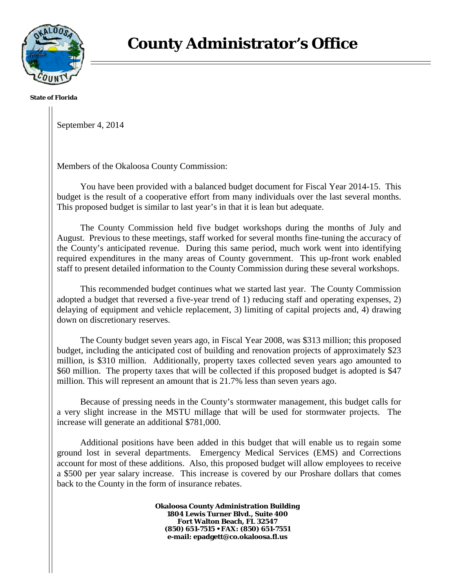

**State of Florida**

September 4, 2014

Members of the Okaloosa County Commission:

You have been provided with a balanced budget document for Fiscal Year 2014-15. This budget is the result of a cooperative effort from many individuals over the last several months. This proposed budget is similar to last year's in that it is lean but adequate.

The County Commission held five budget workshops during the months of July and August. Previous to these meetings, staff worked for several months fine-tuning the accuracy of the County's anticipated revenue. During this same period, much work went into identifying required expenditures in the many areas of County government. This up-front work enabled staff to present detailed information to the County Commission during these several workshops.

This recommended budget continues what we started last year. The County Commission adopted a budget that reversed a five-year trend of 1) reducing staff and operating expenses, 2) delaying of equipment and vehicle replacement, 3) limiting of capital projects and, 4) drawing down on discretionary reserves.

The County budget seven years ago, in Fiscal Year 2008, was \$313 million; this proposed budget, including the anticipated cost of building and renovation projects of approximately \$23 million, is \$310 million. Additionally, property taxes collected seven years ago amounted to \$60 million. The property taxes that will be collected if this proposed budget is adopted is \$47 million. This will represent an amount that is 21.7% less than seven years ago.

Because of pressing needs in the County's stormwater management, this budget calls for a very slight increase in the MSTU millage that will be used for stormwater projects. The increase will generate an additional \$781,000.

Additional positions have been added in this budget that will enable us to regain some ground lost in several departments. Emergency Medical Services (EMS) and Corrections account for most of these additions. Also, this proposed budget will allow employees to receive a \$500 per year salary increase. This increase is covered by our Proshare dollars that comes back to the County in the form of insurance rebates.

> **Okaloosa County Administration Building 1804 Lewis Turner Blvd., Suite 400 Fort Walton Beach, FL 32547 (850) 651-7515 • FAX: (850) 651-7551 e-mail: epadgett@co.okaloosa.fl.us**